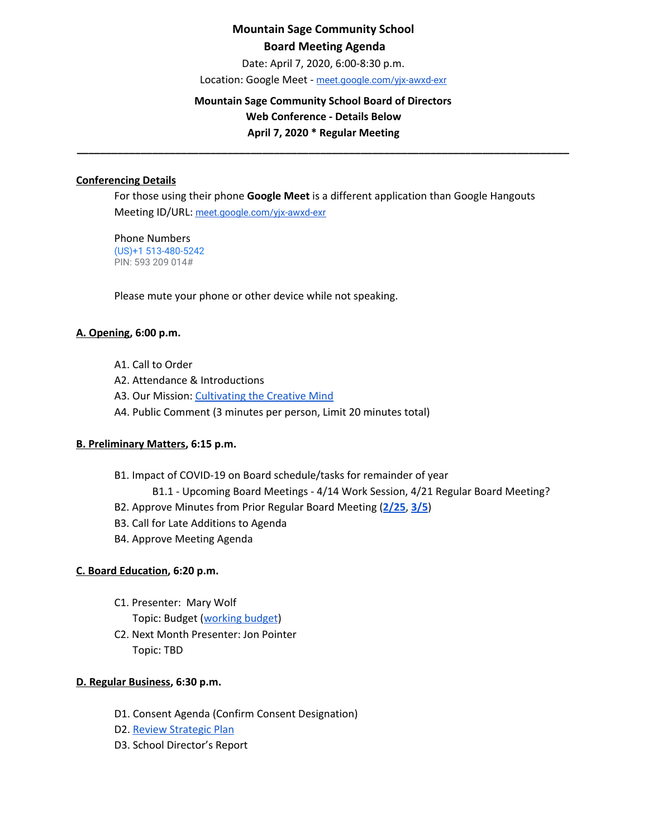# **Mountain Sage Community School Board Meeting Agenda**

Date: April 7, 2020, 6:00-8:30 p.m.

Location: Google Meet - [meet.google.com/yjx-awxd-exr](https://meet.google.com/yjx-awxd-exr)

## **Mountain Sage Community School Board of Directors Web Conference - Details Below April 7, 2020 \* Regular Meeting**

**\_\_\_\_\_\_\_\_\_\_\_\_\_\_\_\_\_\_\_\_\_\_\_\_\_\_\_\_\_\_\_\_\_\_\_\_\_\_\_\_\_\_\_\_\_\_\_\_\_\_\_\_\_\_\_\_\_\_\_\_\_\_\_\_\_\_\_\_\_\_\_\_\_\_\_\_\_\_\_\_\_\_\_\_\_**

## **Conferencing Details**

For those using their phone **Google Meet** is a different application than Google Hangouts Meeting ID/URL: [meet.google.com/yjx-awxd-exr](https://meet.google.com/yjx-awxd-exr)

Phone Numbers (US)+1 513-480-5242 PIN: 593 209 014#

Please mute your phone or other device while not speaking.

### **A. Opening, 6:00 p.m.**

- A1. Call to Order
- A2. Attendance & Introductions
- A3. Our Mission: [Cultivating](http://www.mountainsage.org/mission-and-vision.html) the Creative Mind
- A4. Public Comment (3 minutes per person, Limit 20 minutes total)

#### **B. Preliminary Matters, 6:15 p.m.**

- B1. Impact of COVID-19 on Board schedule/tasks for remainder of year
	- B1.1 Upcoming Board Meetings 4/14 Work Session, 4/21 Regular Board Meeting?
- B2. Approve Minutes from Prior Regular Board Meeting (**[2/25](https://docs.google.com/document/d/1kZVtjH8q1wDoj6ObTmjKShwFdPSvEAAbv2CXuxF5xFc)**, **[3/5](https://docs.google.com/document/d/1p7XSdZMciDJrTsFLPpEw92xKHEo0GuOzOaJmaST1FQg?usp=sharing)**)
- B3. Call for Late Additions to Agenda
- B4. Approve Meeting Agenda

## **C. Board Education, 6:20 p.m.**

- C1. Presenter: Mary Wolf Topic: Budget ([working](https://drive.google.com/file/d/1mj39zwz1Gv62rcuUI3lfYyjRrXQnATCm/view?usp=sharing) budget)
- C2. Next Month Presenter: Jon Pointer Topic: TBD

#### **D. Regular Business, 6:30 p.m.**

- D1. Consent Agenda (Confirm Consent Designation)
- D2. Review [Strategic](https://drive.google.com/file/d/1bIEAL8S8NnDx9PPJRR79h1dLsXFMCh-t/view?usp=sharing) Plan
- D3. School Director's Report